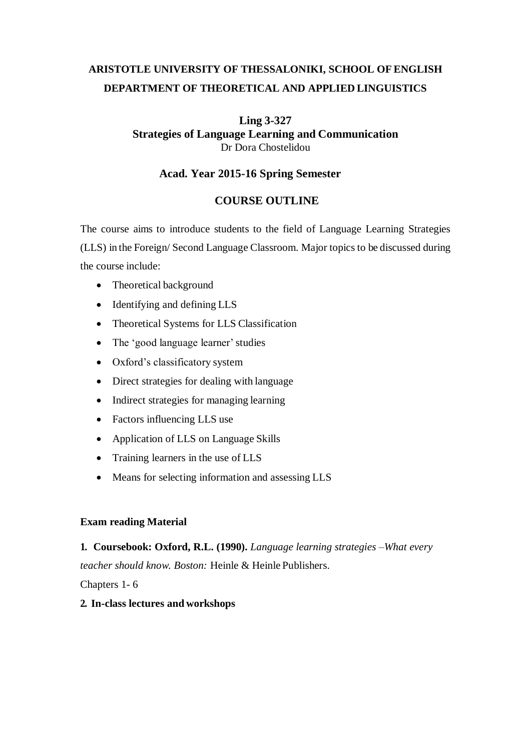# **ARISTOTLE UNIVERSITY OF THESSALONIKI, SCHOOL OF ENGLISH DEPARTMENT OF THEORETICAL AND APPLIED LINGUISTICS**

## **Ling 3-327 Strategies of Language Learning and Communication** Dr Dora Chostelidou

### **Acad. Year 2015-16 Spring Semester**

## **COURSE OUTLINE**

Τhe course aims to introduce students to the field of Language Learning Strategies (LLS) in the Foreign/ Second Language Classroom. Major topicsto be discussed during the course include:

- Theoretical background
- Identifying and defining LLS
- Theoretical Systems for LLS Classification
- The 'good language learner' studies
- Oxford's classificatory system
- Direct strategies for dealing with language
- Indirect strategies for managing learning
- Factors influencing LLS use
- Application of LLS on Language Skills
- Training learners in the use of LLS
- Means for selecting information and assessing LLS

#### **Exam reading Material**

**1. Coursebook: Oxford, R.L. (1990).** *Language learning strategies –What every teacher should know. Boston:* Heinle & Heinle Publishers.

Chapters 1- 6

#### **2. In-class lectures and workshops**